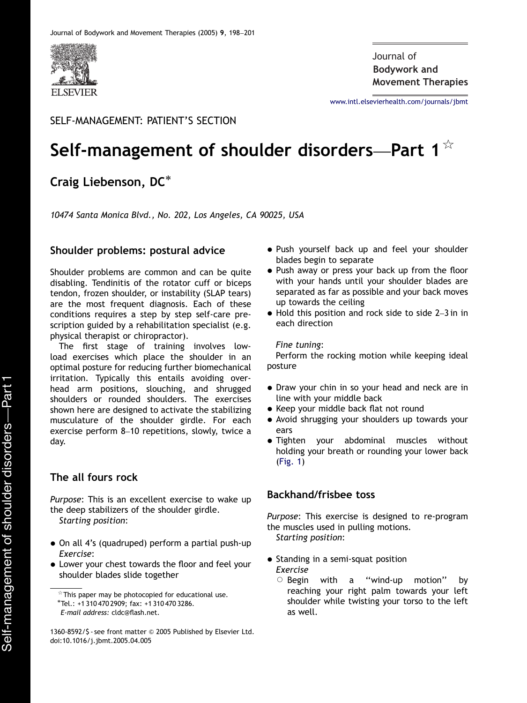

**Bodywork and** Journal of**Movement Therapies**

<www.intl.elsevierhealth.com/journals/jbmt>

# SELF-MANAGEMENT: PATIENT'S SECTION

# Self-management of shoulder disorders—Part 1 $*$

# Craig Liebenson, DC

10474 Santa Monica Blvd., No. 202, Los Angeles, CA 90025, USA

#### Shoulder problems: postural advice

Shoulder problems are common and can be quite disabling. Tendinitis of the rotator cuff or biceps tendon, frozen shoulder, or instability (SLAP tears) are the most frequent diagnosis. Each of these conditions requires a step by step self-care prescription guided by a rehabilitation specialist (e.g. physical therapist or chiropractor).

The first stage of training involves lowload exercises which place the shoulder in an optimal posture for reducing further biomechanical irritation. Typically this entails avoiding overhead arm positions, slouching, and shrugged shoulders or rounded shoulders. The exercises shown here are designed to activate the stabilizing musculature of the shoulder girdle. For each exercise perform 8–10 repetitions, slowly, twice a day.

#### The all fours rock

Purpose: This is an excellent exercise to wake up the deep stabilizers of the shoulder girdle. Starting position:

- On all 4's (quadruped) perform a partial push-up Exercise:
- Lower your chest towards the floor and feel your shoulder blades slide together
- Push yourself back up and feel your shoulder blades begin to separate
- Push away or press your back up from the floor with your hands until your shoulder blades are separated as far as possible and your back moves up towards the ceiling
- Hold this position and rock side to side 2–3 in in each direction

#### Fine tuning:

Perform the rocking motion while keeping ideal posture

- Draw your chin in so your head and neck are in line with your middle back
- Keep your middle back flat not round
- Avoid shrugging your shoulders up towards your ears
- Tighten your abdominal muscles without holding your breath or rounding your lower back ([Fig. 1\)](#page-1-0)

#### Backhand/frisbee toss

Purpose: This exercise is designed to re-program the muscles used in pulling motions. Starting position:

- Standing in a semi-squat position Exercise
	- $\circ$  Begin with a '' wind-up motion'' by reaching your right palm towards your left shoulder while twisting your torso to the left as well.

 $*$ This paper may be photocopied for educational use.<br> $*$ Tel.: +1 310 470 2909; fax: +1 310 470 3286.

E-mail address: cldc@flash.net.

<sup>1360-8592/\$ -</sup> see front matter @ 2005 Published by Elsevier Ltd. doi:10.1016/j.jbmt.2005.04.005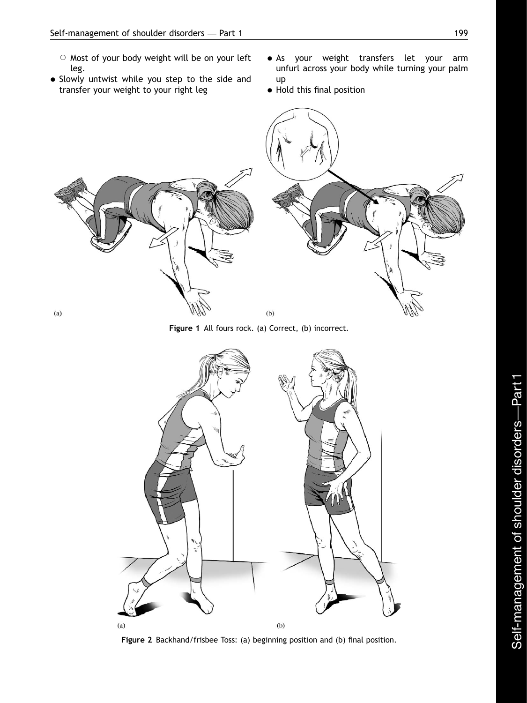- <span id="page-1-0"></span> $\circ$  Most of your body weight will be on your left leg.
- Slowly untwist while you step to the side and transfer your weight to your right leg
- As your weight transfers let your arm unfurl across your body while turning your palm up
- $\bullet$  Hold this final position



Figure 1 All fours rock. (a) Correct, (b) incorrect.



Figure 2 Backhand/frisbee Toss: (a) beginning position and (b) final position.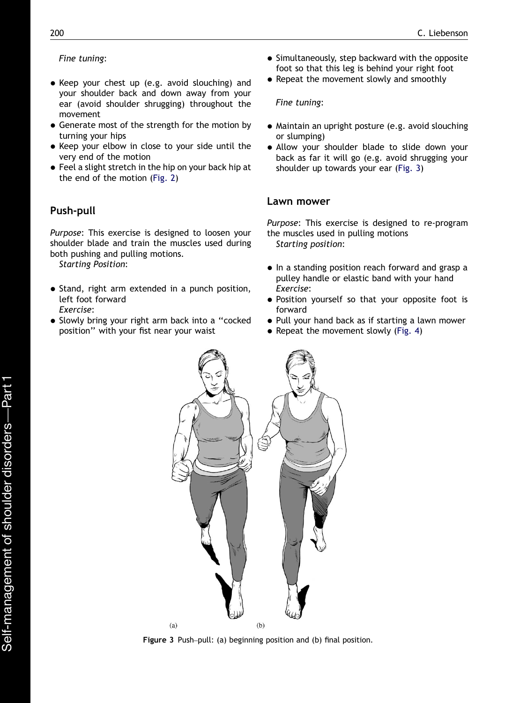#### Fine tuning:

- Keep your chest up (e.g. avoid slouching) and your shoulder back and down away from your ear (avoid shoulder shrugging) throughout the movement
- Generate most of the strength for the motion by turning your hips
- Keep your elbow in close to your side until the very end of the motion
- Feel a slight stretch in the hip on your back hip at the end of the motion ([Fig. 2](#page-1-0))

# Push-pull

Purpose: This exercise is designed to loosen your shoulder blade and train the muscles used during both pushing and pulling motions.

Starting Position:

- Stand, right arm extended in a punch position, left foot forward Exercise:
- Slowly bring your right arm back into a "cocked position'' with your fist near your waist
- Simultaneously, step backward with the opposite foot so that this leg is behind your right foot
- Repeat the movement slowly and smoothly

#### Fine tuning:

- Maintain an upright posture (e.g. avoid slouching or slumping)
- Allow your shoulder blade to slide down your back as far it will go (e.g. avoid shrugging your shoulder up towards your ear (Fig. 3)

### Lawn mower

Purpose: This exercise is designed to re-program the muscles used in pulling motions Starting position:

- In a standing position reach forward and grasp a pulley handle or elastic band with your hand Exercise:
- Position yourself so that your opposite foot is forward
- Pull your hand back as if starting a lawn mower
- Repeat the movement slowly ([Fig. 4\)](#page-3-0)



Figure 3 Push–pull: (a) beginning position and (b) final position.